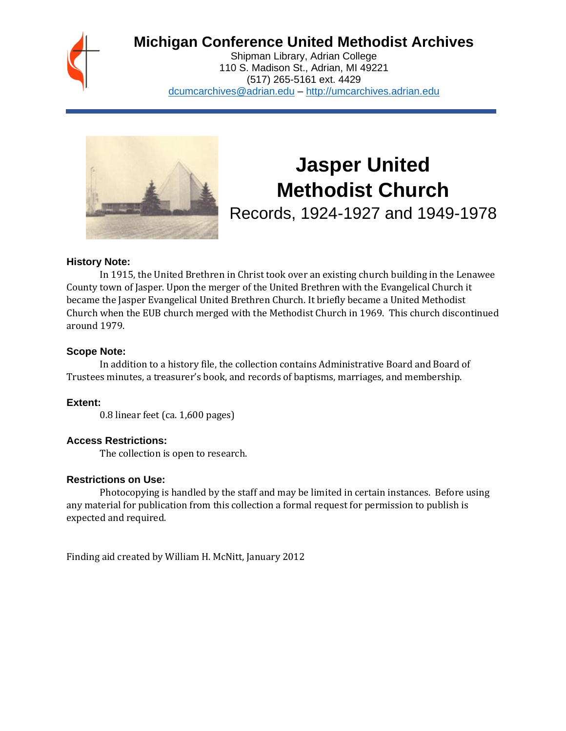

# **Michigan Conference United Methodist Archives**

Shipman Library, Adrian College 110 S. Madison St., Adrian, MI 49221 (517) 265-5161 ext. 4429 [dcumcarchives@adrian.edu](mailto:dcumcarchives@adrian.edu) – [http://umcarchives.adrian.edu](http://umcarchives.adrian.edu/)



# **Jasper United Methodist Church**

Records, 1924-1927 and 1949-1978

#### **History Note:**

In 1915, the United Brethren in Christ took over an existing church building in the Lenawee County town of Jasper. Upon the merger of the United Brethren with the Evangelical Church it became the Jasper Evangelical United Brethren Church. It briefly became a United Methodist Church when the EUB church merged with the Methodist Church in 1969. This church discontinued around 1979.

#### **Scope Note:**

In addition to a history file, the collection contains Administrative Board and Board of Trustees minutes, a treasurer's book, and records of baptisms, marriages, and membership.

## **Extent:**

0.8 linear feet (ca. 1,600 pages)

## **Access Restrictions:**

The collection is open to research.

## **Restrictions on Use:**

Photocopying is handled by the staff and may be limited in certain instances. Before using any material for publication from this collection a formal request for permission to publish is expected and required.

Finding aid created by William H. McNitt, January 2012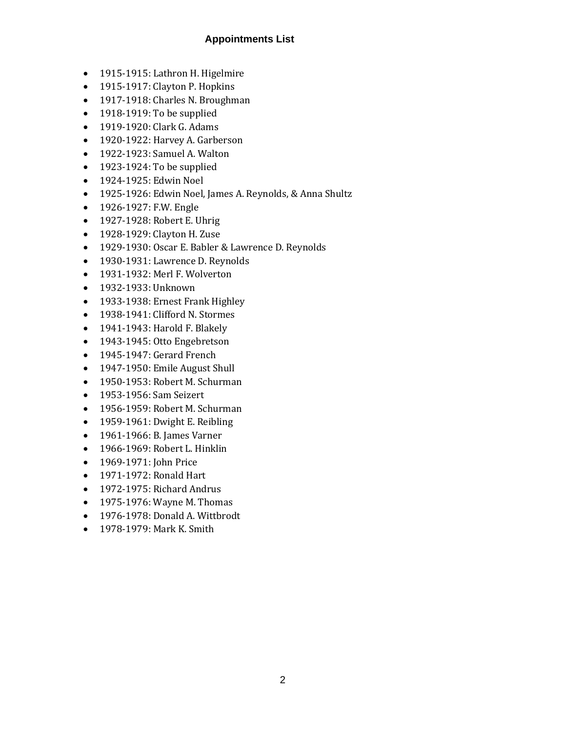## **Appointments List**

- 1915-1915: Lathron H. Higelmire
- 1915-1917: Clayton P. Hopkins
- 1917-1918: Charles N. Broughman
- 1918-1919: To be supplied
- 1919-1920: Clark G. Adams
- 1920-1922: Harvey A. Garberson
- 1922-1923: Samuel A. Walton
- 1923-1924: To be supplied
- 1924-1925: Edwin Noel
- 1925-1926: Edwin Noel, James A. Reynolds, & Anna Shultz
- 1926-1927: F.W. Engle
- 1927-1928: Robert E. Uhrig
- 1928-1929: Clayton H. Zuse
- 1929-1930: Oscar E. Babler & Lawrence D. Reynolds
- 1930-1931: Lawrence D. Reynolds
- 1931-1932: Merl F. Wolverton
- 1932-1933: Unknown
- 1933-1938: Ernest Frank Highley
- 1938-1941: Clifford N. Stormes
- 1941-1943: Harold F. Blakely
- 1943-1945: Otto Engebretson
- 1945-1947: Gerard French
- 1947-1950: Emile August Shull
- 1950-1953: Robert M. Schurman
- 1953-1956: Sam Seizert
- 1956-1959: Robert M. Schurman
- 1959-1961: Dwight E. Reibling
- 1961-1966: B. James Varner
- 1966-1969: Robert L. Hinklin
- 1969-1971: John Price
- 1971-1972: Ronald Hart
- 1972-1975: Richard Andrus
- 1975-1976: Wayne M. Thomas
- 1976-1978: Donald A. Wittbrodt
- 1978-1979: Mark K. Smith